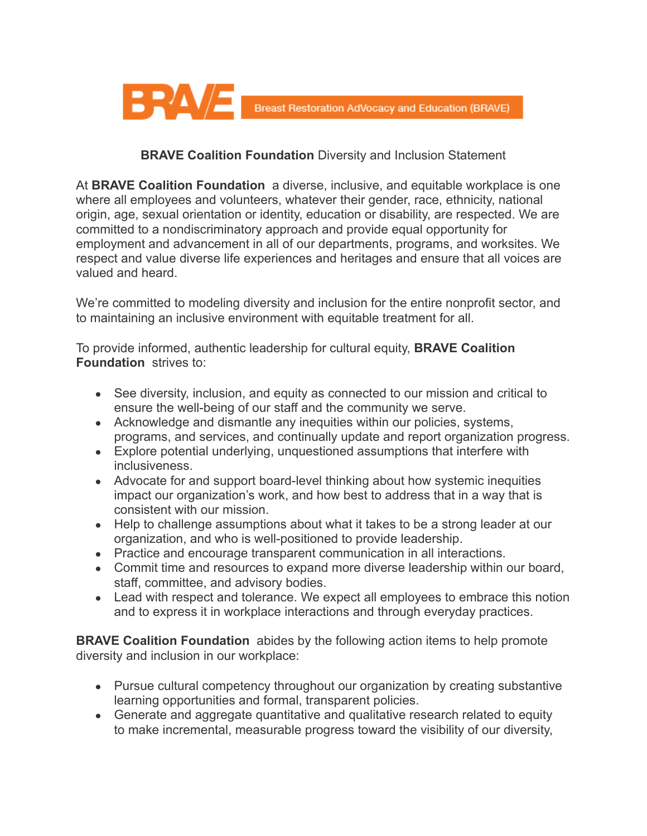

## **BRAVE Coalition Foundation** Diversity and Inclusion Statement

At **BRAVE Coalition Foundation** a diverse, inclusive, and equitable workplace is one where all employees and volunteers, whatever their gender, race, ethnicity, national origin, age, sexual orientation or identity, education or disability, are respected. We are committed to a nondiscriminatory approach and provide equal opportunity for employment and advancement in all of our departments, programs, and worksites. We respect and value diverse life experiences and heritages and ensure that all voices are valued and heard.

We're committed to modeling diversity and inclusion for the entire nonprofit sector, and to maintaining an inclusive environment with equitable treatment for all.

To provide informed, authentic leadership for cultural equity, **BRAVE Coalition Foundation** strives to:

- See diversity, inclusion, and equity as connected to our mission and critical to ensure the well-being of our staff and the community we serve.
- Acknowledge and dismantle any inequities within our policies, systems, programs, and services, and continually update and report organization progress.
- Explore potential underlying, unquestioned assumptions that interfere with inclusiveness.
- Advocate for and support board-level thinking about how systemic inequities impact our organization's work, and how best to address that in a way that is consistent with our mission.
- Help to challenge assumptions about what it takes to be a strong leader at our organization, and who is well-positioned to provide leadership.
- Practice and encourage transparent communication in all interactions.
- Commit time and resources to expand more diverse leadership within our board, staff, committee, and advisory bodies.
- Lead with respect and tolerance. We expect all employees to embrace this notion and to express it in workplace interactions and through everyday practices.

**BRAVE Coalition Foundation** abides by the following action items to help promote diversity and inclusion in our workplace:

- Pursue cultural competency throughout our organization by creating substantive learning opportunities and formal, transparent policies.
- Generate and aggregate quantitative and qualitative research related to equity to make incremental, measurable progress toward the visibility of our diversity,